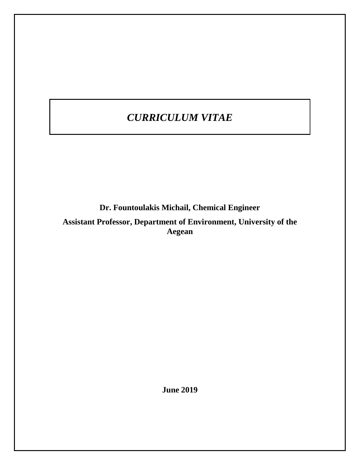# *CURRICULUM VITAE*

**Dr. Fountoulakis Michail, Chemical Engineer Assistant Professor, Department of Environment, University of the Aegean**

**June 2019**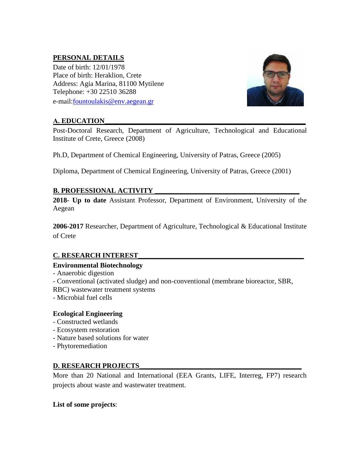## **PERSONAL DETAILS**

Date of birth: 12/01/1978 Place of birth: Heraklion, Crete Address: Agia Marina, 81100 Mytilene Telephone: +30 22510 36288

e-mail[:fountoulakis@env.aegean.gr](mailto:fountoulakis@env.aegean.gr)

## **Α. EDUCATION\_\_\_\_\_\_\_\_\_\_\_\_\_\_\_\_\_\_\_\_\_\_\_\_\_\_\_\_\_\_\_\_\_\_\_\_\_\_\_\_\_\_\_\_\_\_\_\_\_\_\_\_\_\_\_\_\_**

Post-Doctoral Research, Department of Agriculture, Technological and Educational Institute of Crete, Greece (2008)

Ph.D, Department of Chemical Engineering, University of Patras, Greece (2005)

Diploma, Department of Chemical Engineering, University of Patras, Greece (2001)

## **B. PROFESSIONAL ACTIVITY**

**2018- Up to date** Assistant Professor, Department of Environment, University of the Aegean

**2006-2017** Researcher, Department of Agriculture, Technological & Educational Institute of Crete

## **C. RESEARCH INTEREST\_\_\_\_\_\_\_\_\_\_\_\_\_\_\_\_\_\_\_\_\_\_\_\_\_\_\_\_\_\_\_\_\_\_\_\_\_\_\_\_\_\_\_\_\_\_\_**

#### **Environmental Biotechnology**

- Anaerobic digestion
- Conventional (activated sludge) and non-conventional (membrane bioreactor, SBR,
- RBC) wastewater treatment systems
- Microbial fuel cells

#### **Ecological Engineering**

- Constructed wetlands
- Ecosystem restoration
- Nature based solutions for water
- Phytoremediation

#### **D. RESEARCH PROJECTS\_\_\_\_\_\_\_\_\_\_\_\_\_\_\_\_\_\_\_\_\_\_\_\_\_\_\_\_\_\_\_\_\_\_\_\_\_\_\_\_\_\_\_\_\_\_**

More than 20 National and International (EEA Grants, LIFE, Interreg, FP7) research projects about waste and wastewater treatment.

#### **List of some projects**:

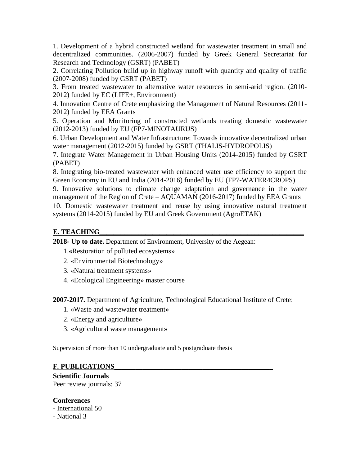1. Development of a hybrid constructed wetland for wastewater treatment in small and decentralized communities. (2006-2007) funded by Greek General Secretariat for Research and Technology (GSRT) (PABET)

2. Correlating Pollution build up in highway runoff with quantity and quality of traffic (2007-2008) funded by GSRT (PABET)

3. From treated wastewater to alternative water resources in semi-arid region. (2010- 2012) funded by EC (LIFE+, Environment)

4. Innovation Centre of Crete emphasizing the Management of Natural Resources (2011- 2012) funded by EEA Grants

5. Operation and Monitoring of constructed wetlands treating domestic wastewater (2012-2013) funded by EU (FP7-MINOTAURUS)

6. Urban Development and Water Infrastructure: Towards innovative decentralized urban water management (2012-2015) funded by GSRT (THALIS-HYDROPOLIS)

7. Integrate Water Management in Urban Housing Units (2014-2015) funded by GSRT (PABET)

8. Integrating bio-treated wastewater with enhanced water use efficiency to support the Green Economy in EU and India (2014-2016) funded by EU (FP7-WATER4CROPS)

9. Innovative solutions to climate change adaptation and governance in the water management of the Region of Crete – AQUAMAN (2016-2017) funded by EEA Grants

10. Domestic wastewater treatment and reuse by using innovative natural treatment systems (2014-2015) funded by EU and Greek Government (AgroETAK)

## **Ε. TEACHING\_\_\_\_\_\_\_\_\_\_\_\_\_\_\_\_\_\_\_\_\_\_\_\_\_\_\_\_\_\_\_\_\_\_\_\_\_\_\_\_\_\_\_\_\_\_\_\_\_\_\_\_\_\_\_\_\_\_**

**2018- Up to date.** Department of Environment, University of the Aegean:

1.**«**Restoration of polluted ecosystems»

- 2. «Environmental Biotechnology»
- 3. «Natural treatment systems»
- 4. «Ecological Engineering» master course

**2007-2017.** Department of Agriculture, Technological Educational Institute of Crete:

- 1. «Waste and wastewater treatment**»**
- 2. «Energy and agriculture**»**
- 3. «Agricultural waste management**»**

Supervision of more than 10 undergraduate and 5 postgraduate thesis

#### **F. PUBLICATIONS\_\_\_\_\_\_\_\_\_\_\_\_\_\_\_\_\_\_\_\_\_\_\_\_\_\_\_\_\_\_\_\_\_\_\_\_\_\_\_\_\_\_\_\_\_**

**Scientific Journals**  Peer review journals: 37

#### **Conferences**

- International 50

- National 3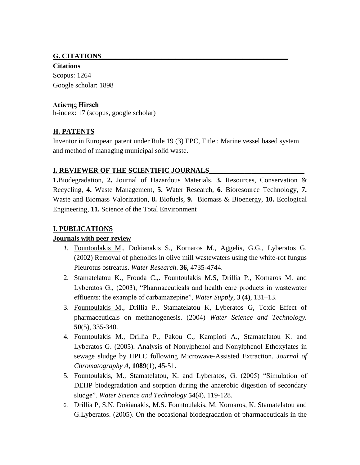#### **G. CITATIONS\_\_\_\_\_\_\_\_\_\_\_\_\_\_\_\_\_\_\_\_\_\_\_\_\_\_\_\_\_\_\_\_\_\_\_\_\_\_\_\_\_\_\_\_\_\_\_\_\_\_\_\_\_**

**Citations**  Scopus: 1264 Google scholar: 1898

#### **Δείκτης Hirsch**

h-index: 17 (scopus, google scholar)

## **Η. PATENTS**

Inventor in European patent under Rule 19 (3) EPC, Title : Marine vessel based system and method of managing municipal solid waste.

### **I. REVIEWER OF THE SCIENTIFIC JOURNALS**

**1.**Biodegradation, **2.** Journal of Hazardous Materials, **3.** Resources, Conservation & Recycling, **4.** Waste Management, **5.** Water Research, **6.** Bioresource Technology, **7.** Waste and Biomass Valorization, **8.** Biofuels, **9.** Biomass & Bioenergy, **10.** Ecological Engineering, **11.** Science of the Total Environment

## **Ι. PUBLICATIONS**

## **Journals with peer review**

- *1.* Fountoulakis M., Dokianakis S., Kornaros M., Aggelis, G.G., Lyberatos G. (2002) Removal of phenolics in olive mill wastewaters using the white-rot fungus Pleurotus ostreatus. *Water Research*. **36**, 4735-4744.
- 2. Stamatelatou K., Frouda C.,. Fountoulakis M.S, Drillia P., Kornaros M. and Lyberatos G., (2003), "Pharmaceuticals and health care products in wastewater effluents: the example of carbamazepine", *Water Supply*, **3 (4)**, 131–13.
- 3. Fountoulakis M., Drillia P., Stamatelatou K, Lyberatos G, Toxic Effect of pharmaceuticals on methanogenesis. (2004) *Water Science and Technology.* **50**(5), 335-340.
- 4. Fountoulakis M., Drillia P., Pakou C., Kampioti A., Stamatelatou K. and Lyberatos G. (2005). Analysis of Nonylphenol and Nonylphenol Ethoxylates in sewage sludge by HPLC following Microwave-Assisted Extraction. *Journal of Chromatography A*, **1089**(1), 45-51.
- 5. Fountoulakis, M., Stamatelatou, K. and Lyberatos, G. (2005) "Simulation of DEHP biodegradation and sorption during the anaerobic digestion of secondary sludge". *Water Science and Technology* **54**(4), 119-128.
- 6. Drillia P, S.N. Dokianakis, M.S. Fountoulakis, M. Kornaros, K. Stamatelatou and G.Lyberatos. (2005). On the occasional biodegradation of pharmaceuticals in the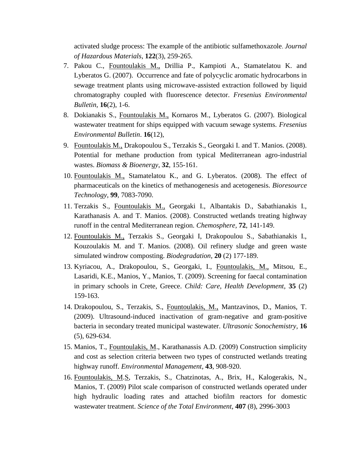activated sludge process: The example of the antibiotic sulfamethoxazole. *Journal of Hazardous Materials*, **122**(3), 259-265.

- 7. Pakou C., Fountoulakis M., Drillia P., Kampioti A., Stamatelatou K. and Lyberatos G. (2007). Occurrence and fate of polycyclic aromatic hydrocarbons in sewage treatment plants using microwave-assisted extraction followed by liquid chromatography coupled with fluorescence detector. *Fresenius Environmental Bulletin,* **16**(2), 1-6.
- 8. Dokianakis S., Fountoulakis M., Kornaros M., Lyberatos G. (2007). Biological wastewater treatment for ships equipped with vacuum sewage systems. *Fresenius Environmental Bulletin*. **16**(12),
- 9. Fountoulakis M., Drakopoulou S., Terzakis S., Georgaki I. and T. Manios. (2008). Potential for methane production from typical Mediterranean agro-industrial wastes. *Biomass & Bioenergy*, **32**, 155-161.
- 10. Fountoulakis M., Stamatelatou K., and G. Lyberatos. (2008). Τhe effect of pharmaceuticals on the kinetics of methanogenesis and acetogenesis. *Bioresource Technology*, **99**, 7083-7090.
- 11. Terzakis S., Fountoulakis M., Georgaki I., Albantakis D., Sabathianakis I., Karathanasis A. and T. Manios. (2008). Constructed wetlands treating highway runoff in the central Mediterranean region. *Chemosphere,* **72**, 141-149.
- 12. Fountoulakis M., Terzakis S., Georgaki I, Drakopoulou S., Sabathianakis I., Kouzoulakis M. and T. Manios. (2008). Oil refinery sludge and green waste simulated windrow composting. *Biodegradation,* **20** (2) 177-189.
- 13. Kyriacou, A., Drakopoulou, S., Georgaki, I., Fountoulakis, M., Mitsou, E., Lasaridi, K.E., Manios, Y., Manios, T. (2009). Screening for faecal contamination in primary schools in Crete, Greece. *Child: Care, Health Development,* **35** (2) 159-163.
- 14. Drakopoulou, S., Terzakis, S., Fountoulakis, M., Mantzavinos, D., Manios, T. (2009). Ultrasound-induced inactivation of gram-negative and gram-positive bacteria in secondary treated municipal wastewater. *Ultrasonic Sonochemistry,* **16** (5), 629-634.
- 15. Manios, T., Fountoulakis, M., Karathanassis A.D. (2009) Construction simplicity and cost as selection criteria between two types of constructed wetlands treating highway runoff. *Environmental Management,* **43**, 908-920.
- 16. Fountoulakis, M.S, Terzakis, S., Chatzinotas, A., Brix, H., Kalogerakis, N., Manios, T. (2009) Pilot scale comparison of constructed wetlands operated under high hydraulic loading rates and attached biofilm reactors for domestic wastewater treatment. *Science of the Total Environment,* **407** (8), 2996-3003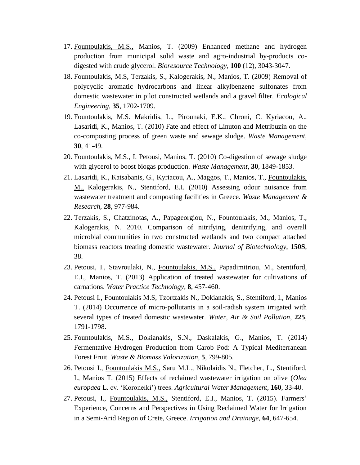- 17. Fountoulakis, M.S., Manios, T. (2009) Enhanced methane and hydrogen production from municipal solid waste and agro-industrial by-products codigested with crude glycerol. *Bioresource Technology,* **100** (12), 3043-3047.
- 18. Fountoulakis, M.S, Terzakis, S., Kalogerakis, N., Manios, T. (2009) Removal of polycyclic aromatic hydrocarbons and linear alkylbenzene sulfonates from domestic wastewater in pilot constructed wetlands and a gravel filter. *Ecological Engineering,* **35**, 1702-1709.
- 19. Fountoulakis, M.S. Makridis, L., Pirounaki, E.K., Chroni, C. Kyriacou, A., Lasaridi, K., Manios, T. (2010) Fate and effect of Linuton and Metribuzin on the co-composting process of green waste and sewage sludge. *Waste Management,* **30**, 41-49.
- 20. Fountoulakis, M.S., I. Petousi, Manios, T. (2010) Co-digestion of sewage sludge with glycerol to boost biogas production. *Waste Management,* **30**, 1849-1853.
- 21. Lasaridi, K., Katsabanis, G., Kyriacou, A., Maggos, T., Manios, T., Fountoulakis, M., Kalogerakis, N., Stentiford, E.I. (2010) Assessing odour nuisance from wastewater treatment and composting facilities in Greece. *Waste Management & Research,* **28**, 977-984.
- 22. Terzakis, S., Chatzinotas, A., Papageorgiou, N., Fountoulakis, M., Manios, T., Kalogerakis, N. 2010. Comparison of nitrifying, denitrifying, and overall microbial communities in two constructed wetlands and two compact attached biomass reactors treating domestic wastewater. *Journal of Biotechnology*, **150S**, 38.
- 23. Petousi, I., Stavroulaki, N., Fountoulakis, M.S., Papadimitriou, M., Stentiford, E.I., Manios, T. (2013) Application of treated wastewater for cultivations of carnations. *Water Practice Technology,* **8**, 457-460.
- 24. Petousi I., Fountoulakis M.S, Tzortzakis N., Dokianakis, S., Stentiford, I., Manios T. (2014) Occurrence of micro-pollutants in a soil-radish system irrigated with several types of treated domestic wastewater. *Water, Air & Soil Pollution,* **225**, 1791-1798.
- 25. Fountoulakis, M.S., Dokianakis, S.N., Daskalakis, G., Manios, T. (2014) Fermentative Hydrogen Production from Carob Pod: A Typical Mediterranean Forest Fruit. *Waste & Biomass Valorization,* **5**, 799-805.
- 26. Petousi I., Fountoulakis M.S., Saru M.L., Nikolaidis N., Fletcher, L., Stentiford, I., Manios T. (2015) Effects of reclaimed wastewater irrigation on olive (*Olea europaea* L. cv. 'Koroneiki') trees. *Agricultural Water Management,* **160**, 33-40.
- 27. Petousi, I., Fountoulakis, M.S., Stentiford, E.I., Manios, T. (2015). [Farmers'](https://scholar.google.com/citations?view_op=view_citation&hl=en&user=Emh_J_cAAAAJ&cstart=20&citation_for_view=Emh_J_cAAAAJ:kNdYIx-mwKoC)  [Experience, Concerns and Perspectives in Using Reclaimed Water for Irrigation](https://scholar.google.com/citations?view_op=view_citation&hl=en&user=Emh_J_cAAAAJ&cstart=20&citation_for_view=Emh_J_cAAAAJ:kNdYIx-mwKoC)  in a Semi‐[Arid Region of Crete, Greece.](https://scholar.google.com/citations?view_op=view_citation&hl=en&user=Emh_J_cAAAAJ&cstart=20&citation_for_view=Emh_J_cAAAAJ:kNdYIx-mwKoC) *Irrigation and Drainage,* **64**, 647-654.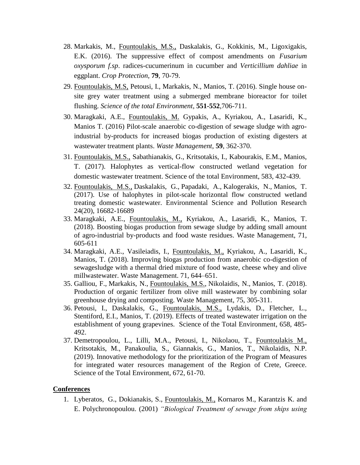- 28. Markakis, M., Fountoulakis, M.S., Daskalakis, G., Kokkinis, M., Ligoxigakis, E.K. (2016). The suppressive effect of compost amendments on *Fusarium oxysporum f.sp*. radices-cucumerinum in cucumber and *Verticillium dahliae* in eggplant. *Crop Protection*, **79**, 70-79.
- 29. Fountoulakis, M.S, Petousi, I., Markakis, N., Manios, T. (2016). Single house onsite grey water treatment using a submerged membrane bioreactor for toilet flushing. *Science of the total Environment*, **551-552**,706-711.
- 30. Maragkaki, A.E., Fountoulakis, M. Gypakis, A., Kyriakou, A., Lasaridi, K., Manios T. (2016) Pilot-scale anaerobic co-digestion of sewage sludge with agroindustrial by-products for increased biogas production of existing digesters at wastewater treatment plants. *Waste Management*, **59**, 362-370.
- 31. Fountoulakis, M.S., Sabathianakis, G., Kritsotakis, I., Kabourakis, E.M., Manios, T. (2017). Halophytes as vertical-flow constructed wetland vegetation for domestic wastewater treatment. Science of the total Environment, 583, 432-439.
- 32. [Fountoulakis, M.S.,](https://www.scopus.com/authid/detail.uri?origin=resultslist&authorId=34871684900&zone=) [Daskalakis, G.,](https://www.scopus.com/authid/detail.uri?origin=resultslist&authorId=14832189900&zone=) [Papadaki, A.,](https://www.scopus.com/authid/detail.uri?origin=resultslist&authorId=57194335670&zone=) [Kalogerakis, N.,](https://www.scopus.com/authid/detail.uri?origin=resultslist&authorId=36868874600&zone=) [Manios, T.](https://www.scopus.com/authid/detail.uri?origin=resultslist&authorId=6603910255&zone=) (2017). [Use of halophytes in pilot-scale horizontal flow constructed wetland](https://www.scopus.com/record/display.uri?eid=2-s2.0-85019765057&origin=resultslist&sort=plf-f&src=s&st1=fountoulakis+m.s&st2=&sid=f41ba48c822f2d12a158c2a9df421930&sot=b&sdt=b&sl=29&s=AUTHOR-NAME%28fountoulakis+m.s%29&relpos=1&citeCnt=0&searchTerm=)  [treating domestic wastewater.](https://www.scopus.com/record/display.uri?eid=2-s2.0-85019765057&origin=resultslist&sort=plf-f&src=s&st1=fountoulakis+m.s&st2=&sid=f41ba48c822f2d12a158c2a9df421930&sot=b&sdt=b&sl=29&s=AUTHOR-NAME%28fountoulakis+m.s%29&relpos=1&citeCnt=0&searchTerm=) [Environmental Science and Pollution Research](https://www.scopus.com/sourceid/23918?origin=resultslist) 24(20), 16682-16689
- 33. [Maragkaki, A.E.,](https://www.scopus.com/authid/detail.uri?origin=AuthorProfile&authorId=57188725103&zone=) [Fountoulakis, M.,](https://www.scopus.com/authid/detail.uri?origin=AuthorProfile&authorId=34871684900&zone=) [Kyriakou, A.,](https://www.scopus.com/authid/detail.uri?origin=AuthorProfile&authorId=57192367463&zone=) [Lasaridi, K.,](https://www.scopus.com/authid/detail.uri?origin=AuthorProfile&authorId=6603260648&zone=) [Manios, T.](https://www.scopus.com/authid/detail.uri?origin=AuthorProfile&authorId=6603910255&zone=) (2018). [Boosting biogas production from sewage sludge by adding small amount](https://www.scopus.com/record/display.uri?eid=2-s2.0-85017411860&origin=resultslist&sort=plf-f&src=s&sid=4e655ac4c14c81e14a8dce2378f9476c&sot=autdocs&sdt=autdocs&sl=18&s=AU-ID%2834871684900%29&relpos=0&citeCnt=0&searchTerm=)  [of agro-industrial by-products and food waste residues.](https://www.scopus.com/record/display.uri?eid=2-s2.0-85017411860&origin=resultslist&sort=plf-f&src=s&sid=4e655ac4c14c81e14a8dce2378f9476c&sot=autdocs&sdt=autdocs&sl=18&s=AU-ID%2834871684900%29&relpos=0&citeCnt=0&searchTerm=) Waste Management, 71, 605-611
- 34. Maragkaki, A.E., Vasileiadis, I., Fountoulakis, M., Kyriakou, A., Lasaridi, K., Manios, T. (2018). Improving biogas production from anaerobic co-digestion of sewagesludge with a thermal dried mixture of food waste, cheese whey and olive millwastewater. Waste Management. 71, 644–651.
- 35. [Galliou, F.,](https://www.scopus.com/authid/detail.uri?origin=resultslist&authorId=57190730396&zone=) [Markakis, N.,](https://www.scopus.com/authid/detail.uri?origin=resultslist&authorId=57126289600&zone=) [Fountoulakis, M.S.,](https://www.scopus.com/authid/detail.uri?origin=resultslist&authorId=34871684900&zone=) [Nikolaidis, N.,](https://www.scopus.com/authid/detail.uri?origin=resultslist&authorId=55400853300&zone=) [Manios, T.](https://www.scopus.com/authid/detail.uri?origin=resultslist&authorId=6603910255&zone=) (2018). [Production of organic fertilizer from olive mill wastewater by combining solar](https://www.scopus.com/record/display.uri?eid=2-s2.0-85040673032&origin=resultslist&sort=plf-f&src=s&st1=fountoulakis+m.s&st2=&sid=f41ba48c822f2d12a158c2a9df421930&sot=b&sdt=b&sl=29&s=AUTHOR-NAME%28fountoulakis+m.s%29&relpos=0&citeCnt=0&searchTerm=)  [greenhouse drying and composting.](https://www.scopus.com/record/display.uri?eid=2-s2.0-85040673032&origin=resultslist&sort=plf-f&src=s&st1=fountoulakis+m.s&st2=&sid=f41ba48c822f2d12a158c2a9df421930&sot=b&sdt=b&sl=29&s=AUTHOR-NAME%28fountoulakis+m.s%29&relpos=0&citeCnt=0&searchTerm=) [Waste Management,](https://www.scopus.com/sourceid/26490?origin=resultslist) 75, 305-311.
- 36. Petousi, I., Daskalakis, G., Fountoulakis, M.S., Lydakis, D., Fletcher, L., Stentiford, E.I., Manios, T. (2019). Effects of treated wastewater irrigation on the establishment of young grapevines. Science of the Total Environment, 658, 485- 492.
- 37. [Demetropoulou, L.,](https://www.scopus.com/authid/detail.uri?origin=AuthorProfile&authorId=6503929124&zone=) [Lilli, M.A.,](https://www.scopus.com/authid/detail.uri?origin=AuthorProfile&authorId=56306263400&zone=) [Petousi, I.,](https://www.scopus.com/authid/detail.uri?origin=AuthorProfile&authorId=37031863900&zone=) Nikolaou, T., Fountoulakis M., Kritsotakis, M., Panakoulia, S., Giannakis, G., [Manios, T.,](https://www.scopus.com/authid/detail.uri?origin=AuthorProfile&authorId=6603910255&zone=) [Nikolaidis, N.P.](https://www.scopus.com/authid/detail.uri?origin=AuthorProfile&authorId=55400853300&zone=) (2019). Innovative methodology for the prioritization of the Program of Measures for integrated water resources management of the Region of Crete, Greece. Science of the Total Environment, 672, 61-70.

#### **Conferences**

1. Lyberatos, G., Dokianakis, S., Fountoulakis, M., Kornaros M., Karantzis K. and E. Polychronopoulou. (2001) *"Biological Treatment of sewage from ships using*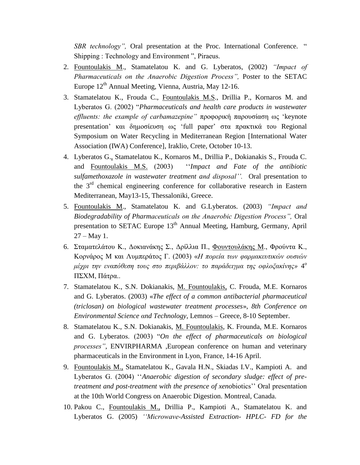*SBR technology",* Oral presentation at the Proc. International Conference. " Shipping : Technology and Environment ", Piraeus.

- 2. Fountoulakis M., Stamatelatou K. and G. Lyberatos, (2002) *"Impact of Pharmaceuticals on the Anaerobic Digestion Process",* Poster to the SETAC Europe  $12<sup>th</sup>$  Annual Meeting, Vienna, Austria, May 12-16.
- 3. Stamatelatou K., Frouda C., Fountoulakis M.S., Drillia P., Kornaros M. and Lyberatos G. (2002) "*Pharmaceuticals and health care products in wastewater effluents: the example of carbamazepine"* προφορική παρουσίαση ως 'keynote presentation' και δημοσίευση ως 'full paper' στα πρακτικά του Regional Symposium on Water Recycling in Mediterranean Region [International Water Association (IWA) Conference], Iraklio, Crete, October 10-13.
- 4. Lyberatos G., Stamatelatou K., Kornaros M., Drillia P., Dokianakis S., Frouda C. and Fountoulakis M.S. (2003) ''*Impact and Fate of the antibiotic sulfamethoxazole in wastewater treatment and disposal''.* Oral presentation to the  $3<sup>rd</sup>$  chemical engineering conference for collaborative research in Eastern Mediterranean, May13-15, Thessaloniki, Greece.
- 5. Fountoulakis M., Stamatelatou K. and G.Lyberatos. (2003) *"Impact and Biodegradability of Pharmaceuticals on the Anaerobic Digestion Process",* Oral presentation to SETAC Europe  $13<sup>th</sup>$  Annual Meeting, Hamburg, Germany, April  $27 - May 1$ .
- 6. Σταματελάτου Κ., Δοκιανάκης Σ., Δρίλλια Π., Φουντουλάκης Μ., Φρούντα Κ., Κορνάρος Μ και Λυμπεράτος Γ. (2003) «*Η πορεία των φαρμακευτικών ουσιών μέχρι την εναπόθεση τους στο περιβάλλον: το παράδειγμα της οφλοξακίνης»* 4 ο ΠΣΧΜ, Πάτρα..
- 7. Stamatelatou K., S.N. Dokianakis, M. Fountoulakis, C. Frouda, M.E. Kornaros and G. Lyberatos. (2003) «*The effect of a common antibacterial pharmaceutical (triclosan) on biological wastewater treatment processes*», *8th Conference on Environmental Science αnd Technology*, Lemnos – Greece, 8-10 September.
- 8. Stamatelatou K., S.N. Dokianakis, M. Fountoulakis, K. Frounda, M.E. Kornaros and G. Lyberatos. (2003) "*On the effect of pharmaceuticals on biological processes"*, ENVIRPHARMA ,European conference on human and veterinary pharmaceuticals in the Environment in Lyon, France, 14-16 April.
- 9. Fountoulakis M., Stamatelatou K., Gavala H.N., Skiadas I.V., Kampioti A. and Lyberatos G. (2004) ''*Anaerobic digestion of secondary sludge: effect of pretreatment and post-treatment with the presence of xeno*biotics'' Oral presentation at the 10th World Congress on Anaerobic Digestion. Montreal, Canada.
- 10. Pakou C., Fountoulakis M., Drillia P., Kampioti A., Stamatelatou K. and Lyberatos G. (2005) *''Microwave-Assisted Extraction- HPLC- FD for the*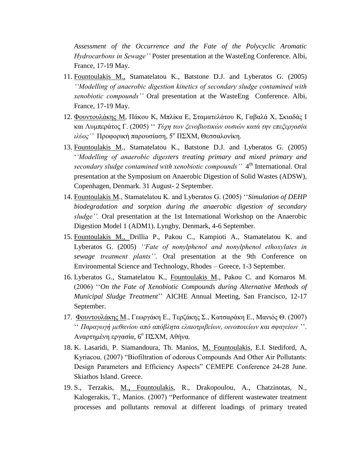*Assessment of the Occurrence and the Fate of the Polycyclic Aromatic Hydrocarbons in Sewage''* Poster presentation at the WasteEng Conference. Albi, France, 17-19 May.

- 11. Fountoulakis M., Stamatelatou K., Batstone D.J. and Lyberatos G. (2005) *''Modelling of anaerobic digestion kinetics of secondary sludge contamined with xenobiotic compounds''* Oral presentation at the WasteEng Conference. Albi, France, 17-19 May.
- 12. Φουντουλάκης M, Πάκου K, Μπλίκα E, Σταματελάτου K, Γαβαλά X, Σκιαδάς I και Λυμπεράτος Γ. (2005) '' *Τύχη των ξενοβιοτικών ουσιών κατά την επεξεργασία ιλύος''* Προφορική παρουσίαση, 5<sup>ο</sup> ΠΣΧΜ, Θεσσαλονίκη.
- 13. Fountoulakis M., Stamatelatou K., Batstone D.J. and Lyberatos G. (2005) '*'Modelling of anaerobic digesters treating primary and mixed primary and*  secondary sludge contamined with xenobiotic compounds'' 4<sup>th</sup> International. Oral presentation at the Symposium on Anaerobic Digestion of Solid Wastes (ADSW), Copenhagen, Denmark. 31 August- 2 September.
- 14. Fountoulakis M., Stamatelatou K. and Lyberatos G. (2005) ''*Simulation of DEHP biodegradation and sorption during the anaerobic digestion of secondary sludge''.* Oral presentation at the 1st International Workshop on the Anaerobic Digestion Model 1 (ADM1). Lyngby, Denmark, 4-6 September.
- 15. Fountoulakis M., Drillia P., Pakou C., Kampioti A., Stamatelatou K. and Lyberatos G. (2005) *''Fate of nonylphenol and nonylphenol ethoxylates in sewage treatment plants''*. Oral presentation at the 9th Conference on Environmental Science and Technology, Rhodes – Greece, 1-3 September.
- 16. Lyberatos G., Stamatelatou K., Fountoulakis M., Pakou C. and Kornaros M. (2006) ''*On the Fate of Xenobiotic Compounds during Alternative Methods of Municipal Sludge Treatment*'' AICHE Annual Meeting, San Francisco, 12-17 September.
- 17. Φουντουλάκης Μ., Γεωργάκη Ε., Τερζάκης Σ., Κατσαράκη Ε., Μανιός Θ. (2007) '' *Παραγωγή μεθανίου από απόβλητα ελαιοτριβείων, οινοποιείων και σφαγείων* ''. Αναρτημένη εργασία, 6 <sup>ο</sup> ΠΣΧΜ, Αθήνα.
- 18. K. Lasaridi, P. Siamandoura, Th. Manios, M. Fountoulakis, E.I. Stediford, A, Kyriacou. (2007) "Biofiltration of odorous Compounds And Other Air Pollutants: Design Parameters and Efficiency Aspects" CEMEPE Conference 24-28 June. Skiathos Island. Greece.
- 19. S., Terzakis, M., Fountoulakis, R., Drakopoulou, A., Chatzinotas, N., Kalogerakis, T., Manios. (2007) "Performance of different wastewater treatment processes and pollutants removal at different loadings of primary treated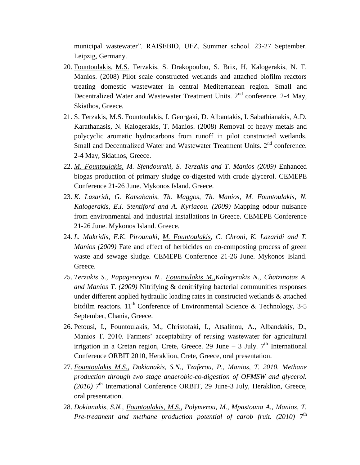municipal wastewater". RAISEBIO, UFZ, Summer school. 23-27 September. Leipzig, Germany.

- 20. Fountoulakis, M.S. Terzakis, S. Drakopoulou, S. Brix, H, Kalogerakis, N. T. Manios. (2008) Pilot scale constructed wetlands and attached biofilm reactors treating domestic wastewater in central Mediterranean region. Small and Decentralized Water and Wastewater Treatment Units.  $2<sup>nd</sup>$  conference. 2-4 May, Skiathos, Greece.
- 21. S. Terzakis, M.S. Fountoulakis, I. Georgaki, D. Albantakis, I. Sabathianakis, A.D. Karathanasis, N. Kalogerakis, T. Manios. (2008) Removal of heavy metals and polycyclic aromatic hydrocarbons from runoff in pilot constructed wetlands. Small and Decentralized Water and Wastewater Treatment Units. 2<sup>nd</sup> conference. 2-4 May, Skiathos, Greece.
- 22. *M. Fountoulakis, M. Sfendouraki, S. Terzakis and T. Manios (2009)* Enhanced biogas production of primary sludge co-digested with crude glycerol. CEMEPE Conference 21-26 June. Mykonos Island. Greece.
- 23. *K. Lasaridi, G. Katsabanis, Th. Maggos, Th. Manios, M. Fountoulakis, N. Kalogerakis, E.I. Stentiford and A. Kyriacou. (2009)* Mapping odour nuisance from environmental and industrial installations in Greece. CEMEPE Conference 21-26 June. Mykonos Island. Greece.
- 24. *L. Makridis, E.K. Pirounaki, M. Fountoulakis, C. Chroni, K. Lazaridi and T. Manios (2009)* Fate and effect of herbicides on co-composting process of green waste and sewage sludge. CEMEPE Conference 21-26 June. Mykonos Island. Greece.
- 25. *Terzakis S., Papageorgiou N., Fountoulakis M.,Kalogerakis N., Chatzinotas A. and Manios T. (2009)* Nitrifying & denitrifying bacterial communities responses under different applied hydraulic loading rates in constructed wetlands & attached biofilm reactors.  $11^{th}$  Conference of Environmental Science & Technology, 3-5 September, Chania, Greece.
- 26. Petousi, I., Fountoulakis, M., Christofaki, I., Atsalinou, A., Albandakis, D., Manios T. 2010. Farmers' acceptability of reusing wastewater for agricultural irrigation in a Cretan region, Crete, Greece. 29 June  $-$  3 July.  $7<sup>th</sup>$  International Conference ORBIT 2010, Heraklion, Crete, Greece, oral presentation.
- 27. *Fountoulakis M.S., Dokianakis, S.N., Tzaferou, P., Manios, T. 2010. Methane production through two stage anaerobic-co-digestion of OFMSW and glycerol.*  (2010)<sup>7th</sup> International Conference ORBIT, 29 June-3 July, Heraklion, Greece, oral presentation.
- 28. *Dokianakis, S.N., Fountoulakis, M.S., Polymerou, M., Mpastouna A., Manios, T.*  Pre-treatment and methane production potential of carob fruit. (2010) 7<sup>th</sup>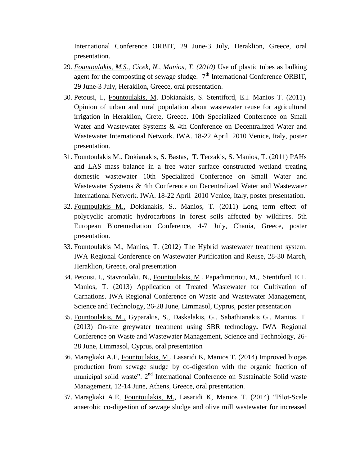International Conference ORBIT, 29 June-3 July, Heraklion, Greece, oral presentation.

- 29. *Fountoulakis, M.S., Cicek, N., Manios, T. (2010)* Use of plastic tubes as bulking agent for the composting of sewage sludge.  $7<sup>th</sup>$  International Conference ORBIT, 29 June-3 July, Heraklion, Greece, oral presentation.
- 30. Petousi, I., Fountoulakis, M. Dokianakis, S. Stentiford, E.I. Manios T. (2011). Opinion of urban and rural population about wastewater reuse for agricultural irrigation in Heraklion, Crete, Greece. 10th Specialized Conference on Small Water and Wastewater Systems & 4th Conference on Decentralized Water and Wastewater International Network. IWA. 18-22 April 2010 Venice, Italy, poster presentation.
- 31. Fountoulakis M., Dokianakis, S. Bastas, T. Terzakis, S. Manios, T. (2011) PAHs and LAS mass balance in a free water surface constructed wetland treating domestic wastewater 10th Specialized Conference on Small Water and Wastewater Systems & 4th Conference on Decentralized Water and Wastewater International Network. IWA. 18-22 April 2010 Venice, Italy, poster presentation.
- 32. Fountoulakis M., Dokianakis, S., Manios, T. (2011) Long term effect of polycyclic aromatic hydrocarbons in forest soils affected by wildfires. 5th European Bioremediation Conference, 4-7 July, Chania, Greece, poster presentation.
- 33. Fountoulakis M., Manios, T. (2012) The Hybrid wastewater treatment system. IWA Regional Conference on Wastewater Purification and Reuse, 28-30 March, Heraklion, Greece, oral presentation
- 34. Petousi, I., Stavroulaki, N., Fountoulakis, M., Papadimitriou, M.,. Stentiford, E.I., Manios, T. (2013) Application of Treated Wastewater for Cultivation of Carnations. IWA Regional Conference on Waste and Wastewater Management, Science and Technology, 26-28 June, Limmasol, Cyprus, poster presentation
- 35. Fountoulakis, M., Gyparakis, S., Daskalakis, G., Sabathianakis G., Manios, T. (2013) On-site greywater treatment using SBR technology**.** IWA Regional Conference on Waste and Wastewater Management, Science and Technology, 26- 28 June, Limmasol, Cyprus, oral presentation
- 36. Maragkaki A.E, Fountoulakis, M., Lasaridi K, Manios T. (2014) Improved biogas production from sewage sludge by co-digestion with the organic fraction of municipal solid waste". 2<sup>nd</sup> International Conference on Sustainable Solid waste Management, 12-14 June, Athens, Greece, oral presentation.
- 37. Maragkaki A.E, Fountoulakis, M., Lasaridi K, Manios T. (2014) "Pilot-Scale anaerobic co-digestion of sewage sludge and olive mill wastewater for increased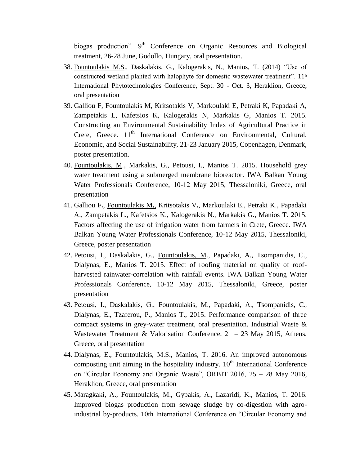biogas production". 9<sup>th</sup> Conference on Organic Resources and Biological treatment, 26-28 June, Godollo, Hungary, oral presentation.

- 38. Fountoulakis M.S., Daskalakis, G., Kalogerakis, N., Manios, T. (2014) "Use of constructed wetland planted with halophyte for domestic wastewater treatment".  $11<sup>th</sup>$ International Phytotechnologies Conference, Sept. 30 - Oct. 3, Heraklion, Greece, oral presentation
- 39. Galliou F, Fountoulakis M, Kritsotakis V, Markoulaki E, Petraki K, Papadaki A, Zampetakis L, Kafetsios K, Kalogerakis N, Markakis G, Manios T. 2015. Constructing an Environmental Sustainability Index of Agricultural Practice in Crete, Greece.  $11<sup>th</sup>$  International Conference on Environmental, Cultural, Economic, and Social Sustainability, 21-23 January 2015, Copenhagen, Denmark, poster presentation.
- 40. Fountoulakis, M., Markakis, G., Petousi, I., Manios T. 2015. Household grey water treatment using a submerged membrane bioreactor. IWA Balkan Young Water Professionals Conference, 10-12 May 2015, Thessaloniki, Greece, oral presentation
- 41. Galliou F**.**, Fountoulakis M**.**, Kritsotakis V**.**, Markoulaki E., Petraki K., Papadaki A., Zampetakis L., Kafetsios K., Kalogerakis N., Markakis G., Manios T. 2015. Factors affecting the use of irrigation water from farmers in Crete, Greece**.** IWA Balkan Young Water Professionals Conference, 10-12 May 2015, Thessaloniki, Greece, poster presentation
- 42. Petousi, Ι., Daskalakis, G., Fountoulakis, M., Papadaki, A., Tsompanidis, C., Dialynas, E., Manios T. 2015. Effect of roofing material on quality of roofharvested rainwater-correlation with rainfall events. IWA Balkan Young Water Professionals Conference, 10-12 May 2015, Thessaloniki, Greece, poster presentation
- 43. Petousi, I., Daskalakis, G., Fountoulakis, M., Papadaki, A., Tsompanidis, C., Dialynas, E., Tzaferou, P., Manios T., 2015. Performance comparison of three compact systems in grey-water treatment, oral presentation. Industrial Waste & Wastewater Treatment & Valorisation Conference,  $21 - 23$  May 2015, Athens, Greece, oral presentation
- 44. Dialynas, E., Fountoulakis, M.S., Manios, T. 2016. An improved autonomous composting unit aiming in the hospitality industry.  $10<sup>th</sup>$  International Conference on "Circular Economy and Organic Waste", ORBIT 2016, 25 – 28 May 2016, Heraklion, Greece, oral presentation
- 45. Maragkaki, A., Fountoulakis, M., Gypakis, A., Lazaridi, K., Manios, T. 2016. Improved biogas production from sewage sludge by co-digestion with agroindustrial by-products. 10th International Conference on "Circular Economy and